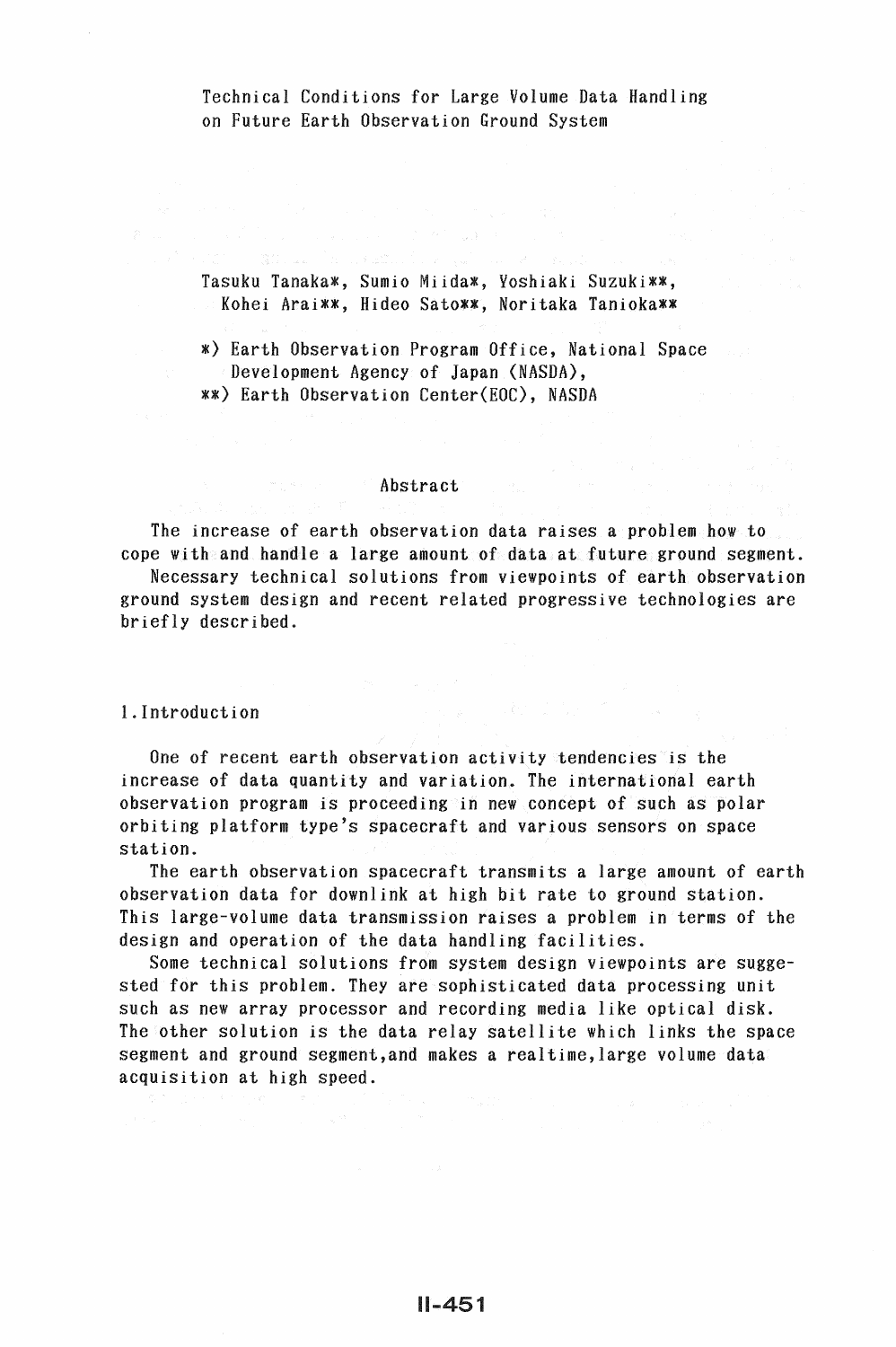Technical Conditions for Large Volume Data Handling on Future Earth Observation Ground System

Tasuku Tanaka\*, Sumio Miida\*, Yoshiaki Suzuki\*\*, Kohei Arai\*\*, Hideo Sato\*\*, Noritaka Tanioka\*\*

\*) Earth Observation Program Office, National Space Development Agency of Japan (NASDA), \*\*) Earth Observation Center(EOC), NASDA

### **Abstract** (2008)

The increase of earth observation data raises a problem how to cope with and handle a large amount of data at future ground segment.

Necessary technical solutions from viewpoints of earth observation ground system design and recent related progressive technologies are briefly described.

!.Introduction

One of recent earth observation activity tendencies is the increase of data quantity and variation. The international earth observation program is proceeding in new concept of such as polar orbiting platform type's spacecraft and various sensors on space station.

The earth observation spacecraft transmits a large amount of earth observation data for downlink at high bit rate to ground station. This large-volume data transmission raises a problem in terms of the design and operation of the data handling facilities.

Some technical solutions from system design viewpoints are suggested for this problem. They are sophisticated data processing unit such as new array processor and recording media like optical disk. The other solution is the data relay satellite which links the space segment and ground segment,and makes a realtime,large volume data acquisition at high speed.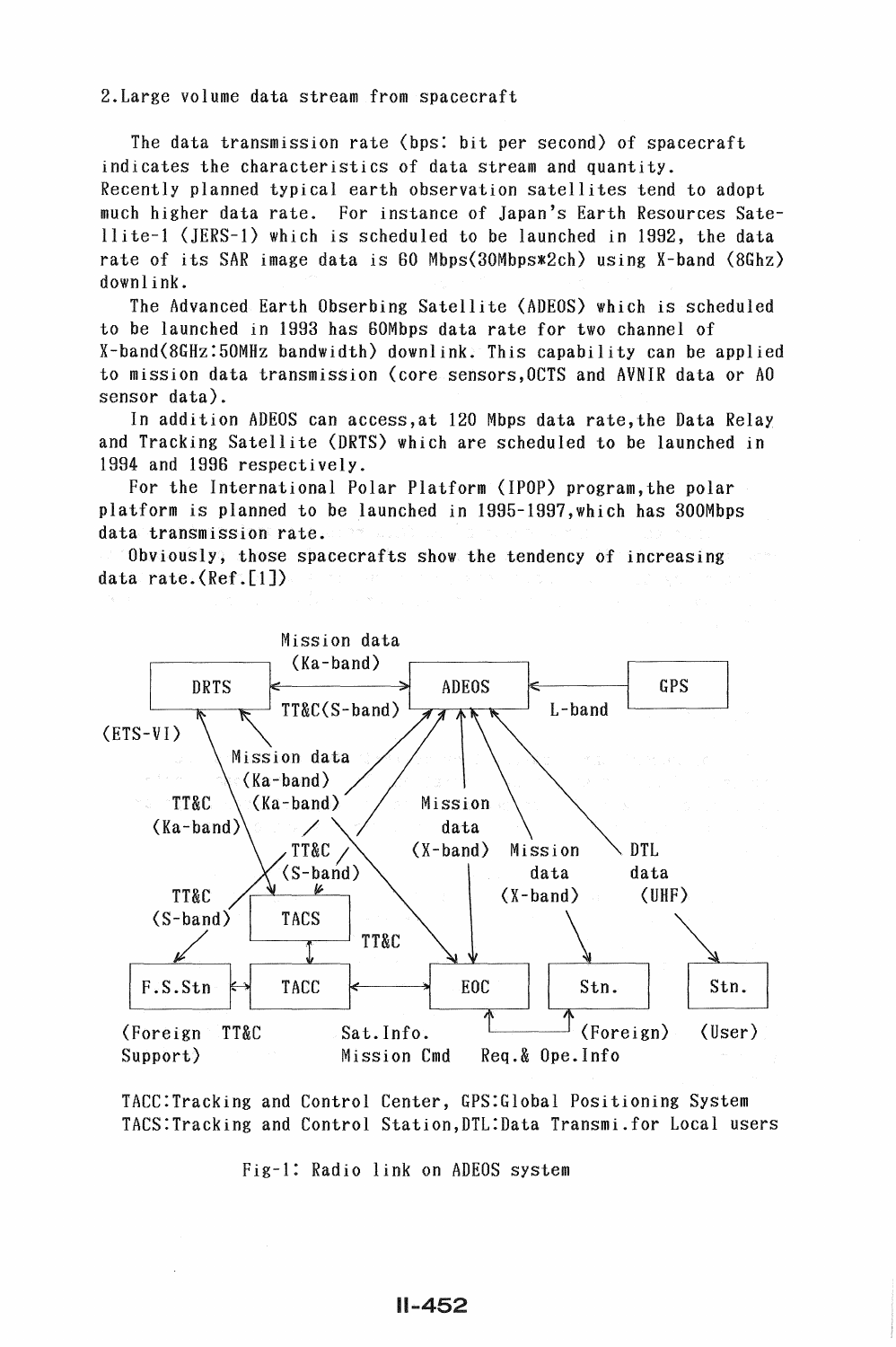2.Large volume data stream from spacecraft

The data transmission rate (bps: bit per second) of spacecraft indicates the characteristics of data stream and quantity. Recently planned typical earth observation satellites tend to adopt much higher data rate. For instance of Japan's Earth Resources Satellite-1 (JERS-1) which is scheduled to be launched in 1992, the data rate of its SAR image data is SO Mbps(30Mbps\*2ch) using X-band (8Ghz) downlink.

The Advanced Earth Obserbing Satellite (ADEOS) which is scheduled to be launched in 1993 has BOMbps data rate for two channel of X-band(8GHz:50MHz bandwidth) downlink. This capability can be applied to mission data transmission (core sensors,OCTS and AVNIR data or AO sensor data).

In addition ADEOS can access,at 120 Mbps data rate,the Data Relay and Tracking Satellite (DRTS) which are scheduled to be launched in 1994 and 1996 respectively.

For the International Polar Platform (IPOP) program,the polar platform is planned to be launched in 1995-1997,which has 300Mbps data transmission rate.

Obviously, those spacecrafts show the tendency of increasing data rate.(Ref.[1])



TACC:Tracking and Control Center, GPS:Global Positioning System TACS:Tracking and Control Station,DTL:Data Transmi.for Local users

Fig-1: Radio link on ADEOS system

 $11 - 452$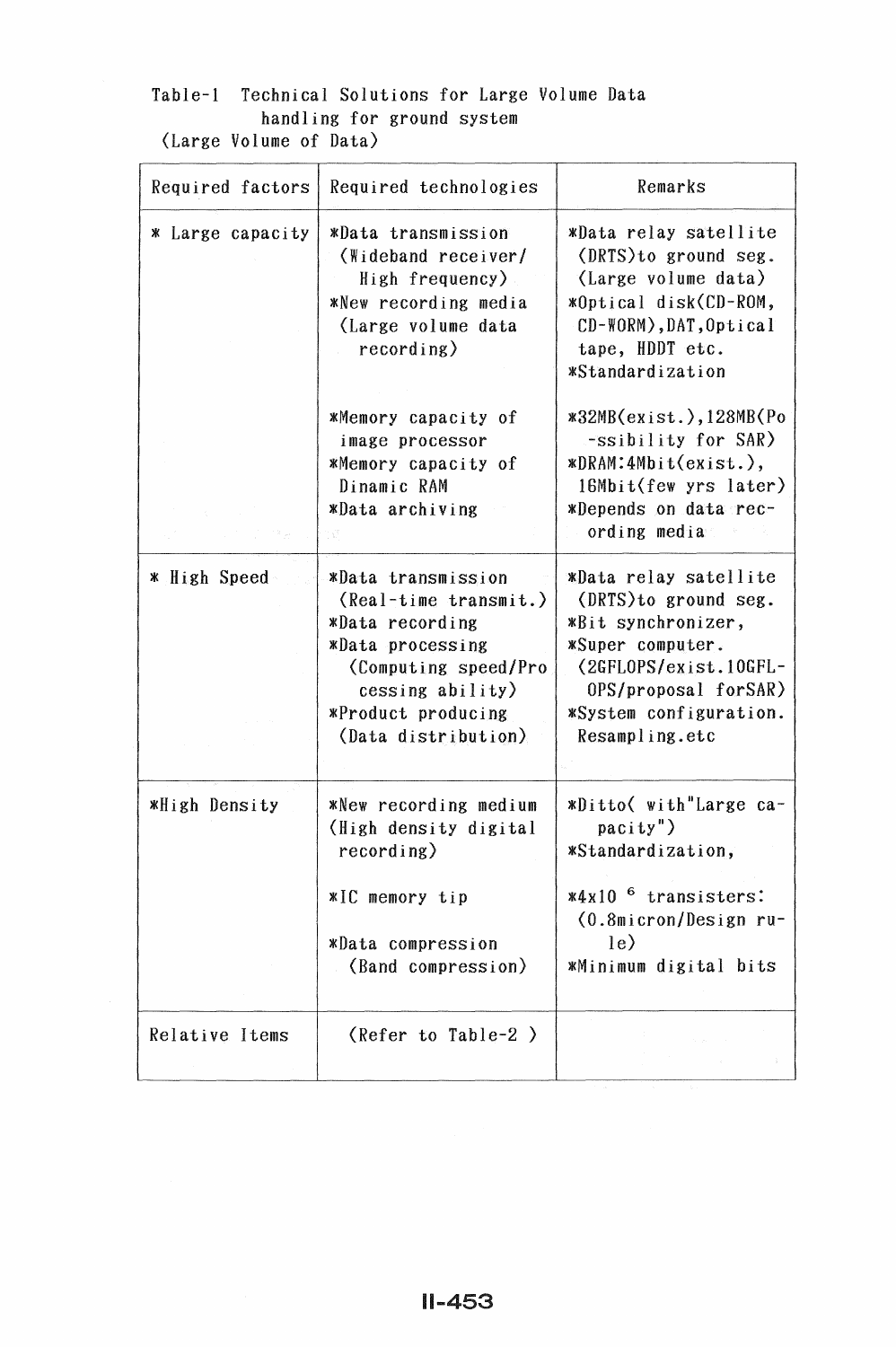# Table-1 Technical Solutions for Large Volume Data handling for ground system (Large Volume of Data)

| Required factors | Required technologies                                                                                                                                                                           | Remarks                                                                                                                                                                               |  |
|------------------|-------------------------------------------------------------------------------------------------------------------------------------------------------------------------------------------------|---------------------------------------------------------------------------------------------------------------------------------------------------------------------------------------|--|
| * Large capacity | *Data transmission<br>(Wideband receiver/<br>High frequency)<br>*New recording media<br>(Large volume data<br>recording)                                                                        | *Data relay satellite<br>(DRTS) to ground seg.<br>(Large volume data)<br>*Optical disk(CD-ROM,<br>CD-WORM), DAT, Optical<br>tape, HDDT etc.<br><i><b>*Standardization</b></i>         |  |
|                  | *Memory capacity of<br>image processor<br>*Memory capacity of<br>Dinamic RAM<br>*Data archiving                                                                                                 | $*32MB(exist.), 128MB(Po)$<br>-ssibility for SAR)<br>NDRAM: 4Mbit(cxist.),<br>16Mbit(few yrs later)<br>*Depends on data rec-<br>ording media                                          |  |
| * High Speed     | *Data transmission<br>$\text{(\textit{Real-time transmit.})}$<br>*Data recording<br>*Data processing<br>(Computing speed/Pro<br>$cessing$ ability)<br>*Product producing<br>(Data distribution) | *Data relay satellite<br>(DRTS) to ground seg.<br>*Bit synchronizer,<br>*Super computer.<br>(2GFLOPS/exist.10GFL-<br>0PS/proposal forSAR)<br>*System configuration.<br>Resampling.etc |  |
| *High Density    | *New recording medium<br>(High density digital<br>recording)<br>*IC memory tip<br><i><b>*Data</b></i> compression<br>(Band compression)                                                         | *Ditto( with"Large ca-<br>$\text{parity}$ ")<br>*Standardization,<br>$*4x10$ <sup>6</sup> transisters:<br>(0.8micron/Design ru-<br>$\vert$ le $\rangle$<br>*Minimum digital bits      |  |
| Relative Items   | (Refer to Table-2)                                                                                                                                                                              |                                                                                                                                                                                       |  |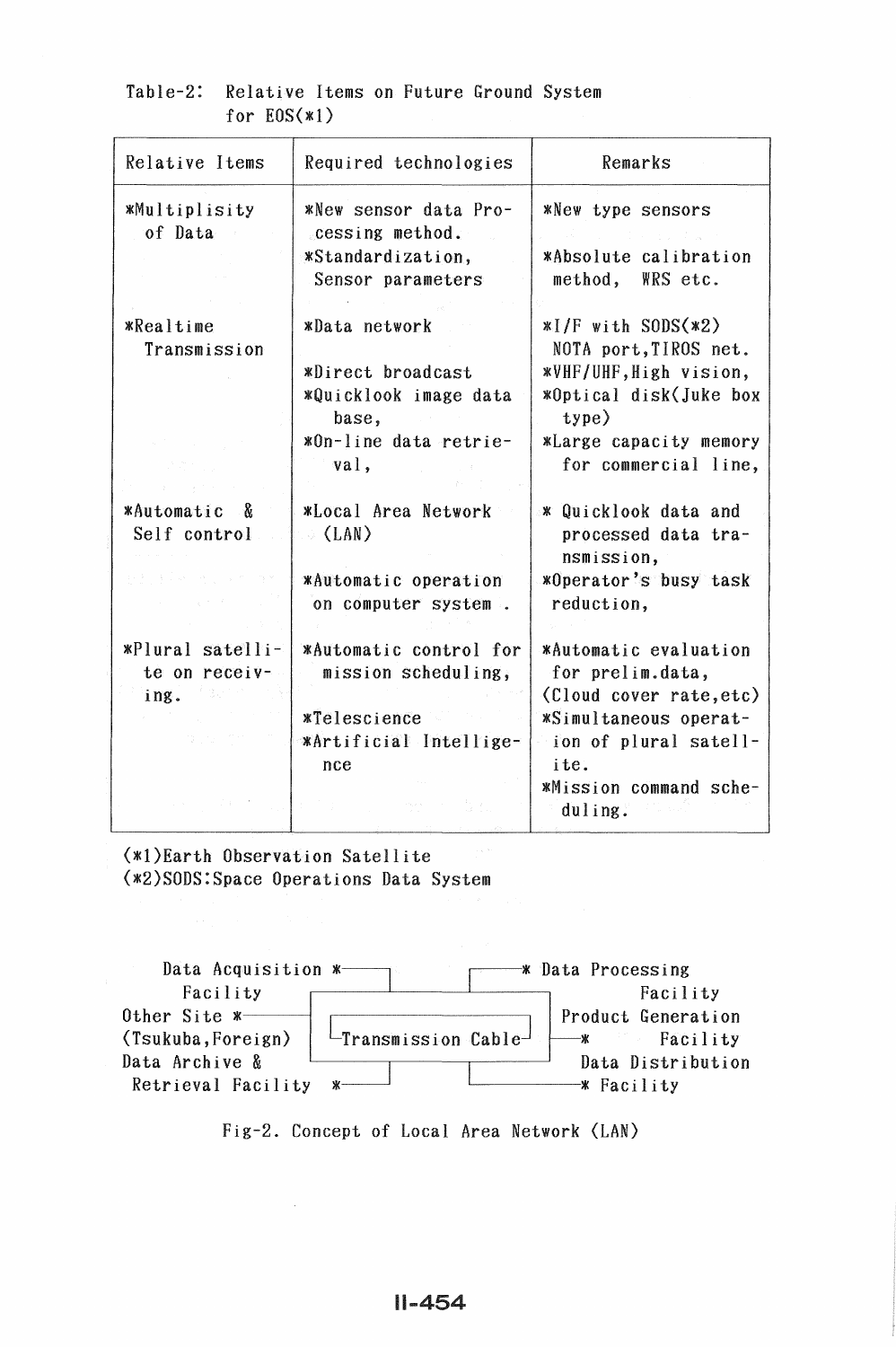| Relative Items                          | Required technologies                       | Remarks                                                   |  |
|-----------------------------------------|---------------------------------------------|-----------------------------------------------------------|--|
| <b>*Multiplisity</b><br>of Data         | *New sensor data Pro-<br>cessing method.    | *New type sensors                                         |  |
|                                         | *Standardization,                           | *Absolute calibration                                     |  |
|                                         | Sensor parameters                           | method,<br>WRS etc.                                       |  |
| <i><b>*Realtime</b></i><br>Transmission | *Data network                               | $*I/F$ with SODS $(*2)$<br>NOTA port, TIROS net.          |  |
|                                         | *Direct broadcast<br>*Quicklook image data  | *VHF/UHF, High vision,<br>*Optical disk(Juke box          |  |
|                                         | base,                                       | type)                                                     |  |
|                                         | *On-line data retrie-                       | <i><b>*Large capacity memory</b></i>                      |  |
|                                         | val,                                        | for commercial line,                                      |  |
| <b>*Automatic</b>                       |                                             |                                                           |  |
| - 8<br>Self control                     | *Local Area Network<br>$\langle$ (LAN)      | * Quicklook data and<br>processed data tra-<br>nsmission, |  |
|                                         | *Automatic operation<br>on computer system. | *Operator's busy task<br>reduction,                       |  |
| *Plural satelli-                        | *Automatic control for                      | *Automatic evaluation                                     |  |
| te on receiv-                           | mission scheduling,                         | for prelim.data,                                          |  |
| ing.                                    |                                             | (Cloud cover rate, etc)                                   |  |
|                                         | <i><b>*Telescience</b></i>                  | *Simultaneous operat-                                     |  |
|                                         | *Artificial Intellige-                      | ion of plural satell-                                     |  |
|                                         | nce                                         | ite.                                                      |  |
|                                         |                                             | *Mission command sche-<br>duling.                         |  |
|                                         |                                             |                                                           |  |

## Table-2: Relative Items on Future Ground System for  $EOS(x1)$

(\*l)Earth Observation Satellite (\*2)SODS:Space Operations Data System



Fig-2. Concept of Local Area Network (LAN)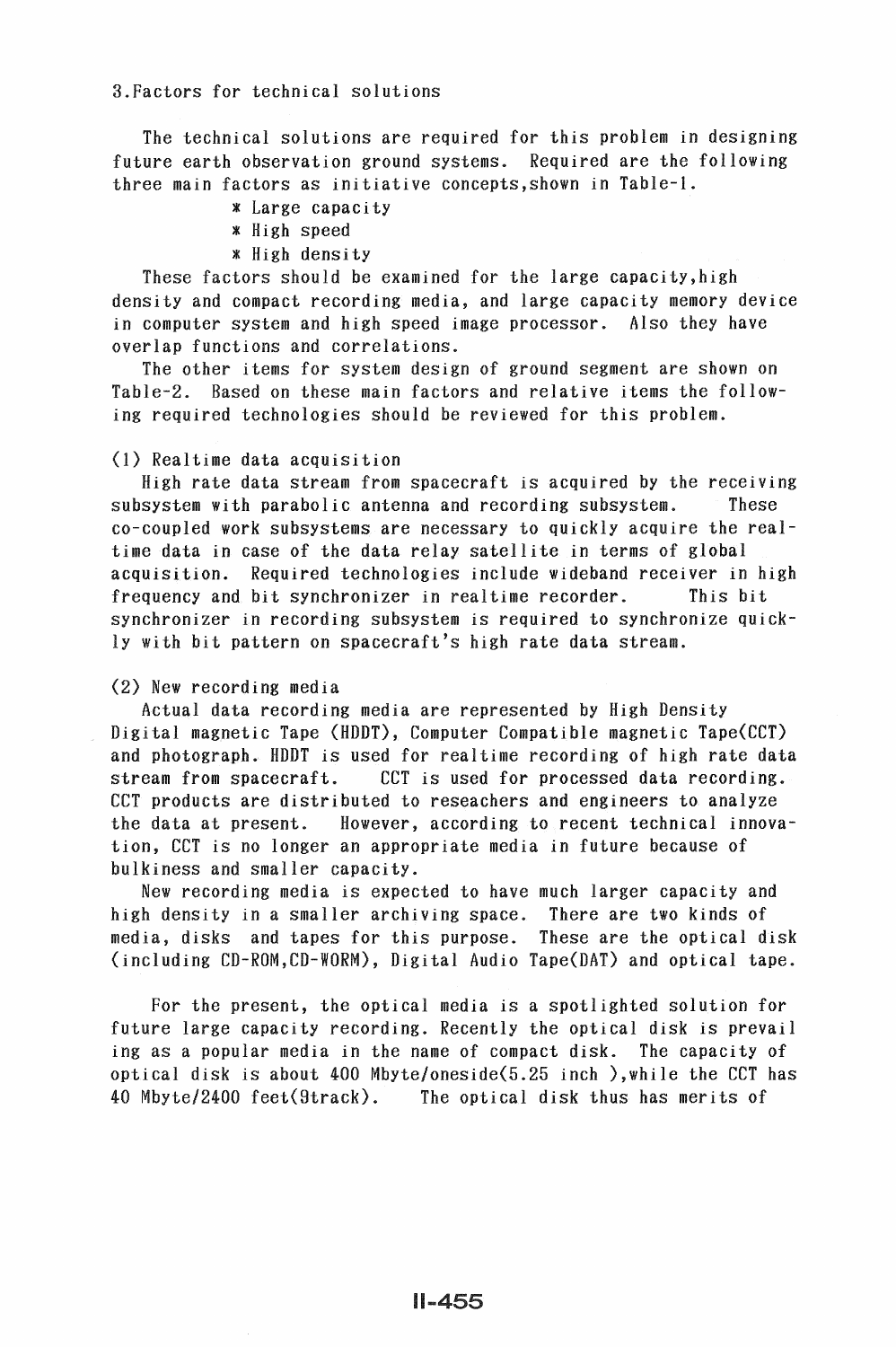3.Factors for technical solutions

The technical solutions are required for this problem in designing future earth observation ground systems. Required are the following three main factors as initiative concepts,shown in Table-1.

- \* Large capacity
- \* High speed
- \* High density

These factors should be examined for the large capacity,high density and compact recording media, and large capacity memory device in computer system and high speed image processor. Also they have overlap functions and correlations.

The other items for system design of ground segment are shown on Table-2. Based on these main factors and relative items the following required technologies should be reviewed for this problem.

### (1) Realtime data acquisition

High rate data stream from spacecraft is acquired by the receiving subsystem with parabolic antenna and recording subsystem. These co-coupled work subsystems are necessary to quickly acquire the realtime data in case of the data relay satellite in terms of global acquisition. Required technologies include wideband receiver in high frequency and bit synchronizer in realtime recorder. This bit synchronizer in recording subsystem is required to synchronize quickly with bit pattern on spacecraft's high rate data stream.

### (2) New recording media

Actual data recording media are represented by High Density Digital magnetic Tape (HDDT), Computer Compatible magnetic Tape{CCT) and photograph. HDDT is used for realtime recording of high rate data stream from spacecraft. CCT is used for processed data recording. CCT products are distributed to reseachers and engineers to analyze the data at present. However, according to recent technical innovation, CCT is no longer an appropriate media in future because of bulkiness and smaller capacity.

New recording media is expected to have much larger capacity and high density in a smaller archiving space. There are two kinds of media, disks and tapes for this purpose. These are the optical disk (including CD-ROM,CD-WORM), Digital Audio Tape{DAT) and optical tape.

For the present, the optical media is a spotlighted solution for future large capacity recording. Recently the optical disk is prevail ing as a popular media in the name of compact disk. The capacity of optical disk is about 400 Mbyte/oneside(5.25 inch ),while the CCT has 40 Mbyte/2400 feet(9track). The optical disk thus has merits of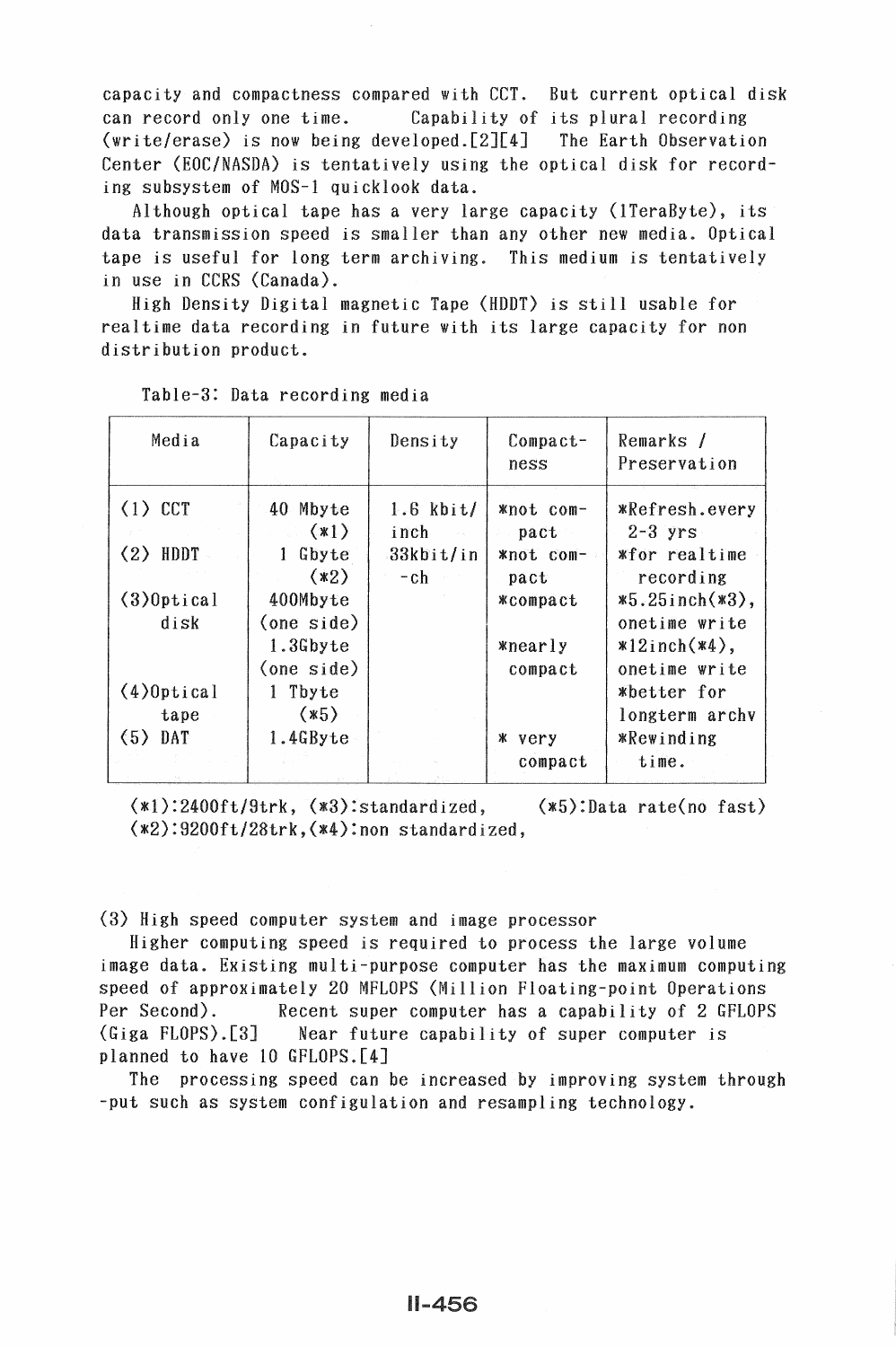capacity and compactness compared with CCT. But current optical disk can record only one time. Capability of its plural recording (write/erase) is now being developed.[2][4] The Earth Observation Center (EOC/NASDA) is tentatively using the optical disk for recording subsystem of MOS-1 quicklook data.

Although optical tape has a very large capacity (!TeraByte), its data transmission speed is smaller than any other new media. Optical tape is useful for long term archiving. This medium is tentatively in use in CCRS (Canada).

High Density Digital magnetic Tape (HDDT) is still usable for realtime data recording in future with its large capacity for non distribution product.

| Media                    | Capacity                        | Density                          | $Comparet-$<br>ness              | Remarks /<br>Preservation                            |
|--------------------------|---------------------------------|----------------------------------|----------------------------------|------------------------------------------------------|
| $(1)$ CCT<br>(2)<br>HDDT | 40 Mbyte<br>(x1)<br>Gbyte<br>1  | $1.6$ kbit/<br>inch<br>33kbit/in | *not com-<br>pact<br>*not com-   | *Refresh.every<br>$2-3$ yrs<br><i>w</i> for realtime |
| $(3)$ Optical<br>disk    | (x2)<br>400Mbyte<br>(one side)  | $-ch$                            | pact<br><b>*compact</b>          | recording<br>$*5.25$ inch $(*3)$ ,<br>onetime write  |
|                          | 1.3Gbyte<br>$\langle$ one side) |                                  | <i><b>xnearly</b></i><br>compact | $*12$ inch $(*4)$ ,<br>onetime write                 |
| $(4)$ Optical<br>tape    | 1 Tbyte<br>$(*5)$               |                                  |                                  | *better for<br>longterm archy                        |
| $(5)$ DAT                | 1.4GByte                        |                                  | ж<br>very<br>compact             | <i><b>*Rewinding</b></i><br>time.                    |

Table-3: Data recording media

(\*1):2400ft/9trk, (\*3):standardized, (\*5):Data rate(no fast) (\*2):9200ft/28trk,(\*4):non standardized,

(3) High speed computer system and image processor

Higher computing speed is required to process the large volume image data. Existing multi-purpose computer has the maximum computing speed of approximately 20 MFLOPS (Million Floating-point Operations Per Second). Recent super computer has a capability of 2 GFLOPS (Giga FLOPS).[3] Near future capability of super computer is planned to have 10 GFLOPS.[4]

The processing speed can be increased by improving system through -put such as system configulation and resampling technology.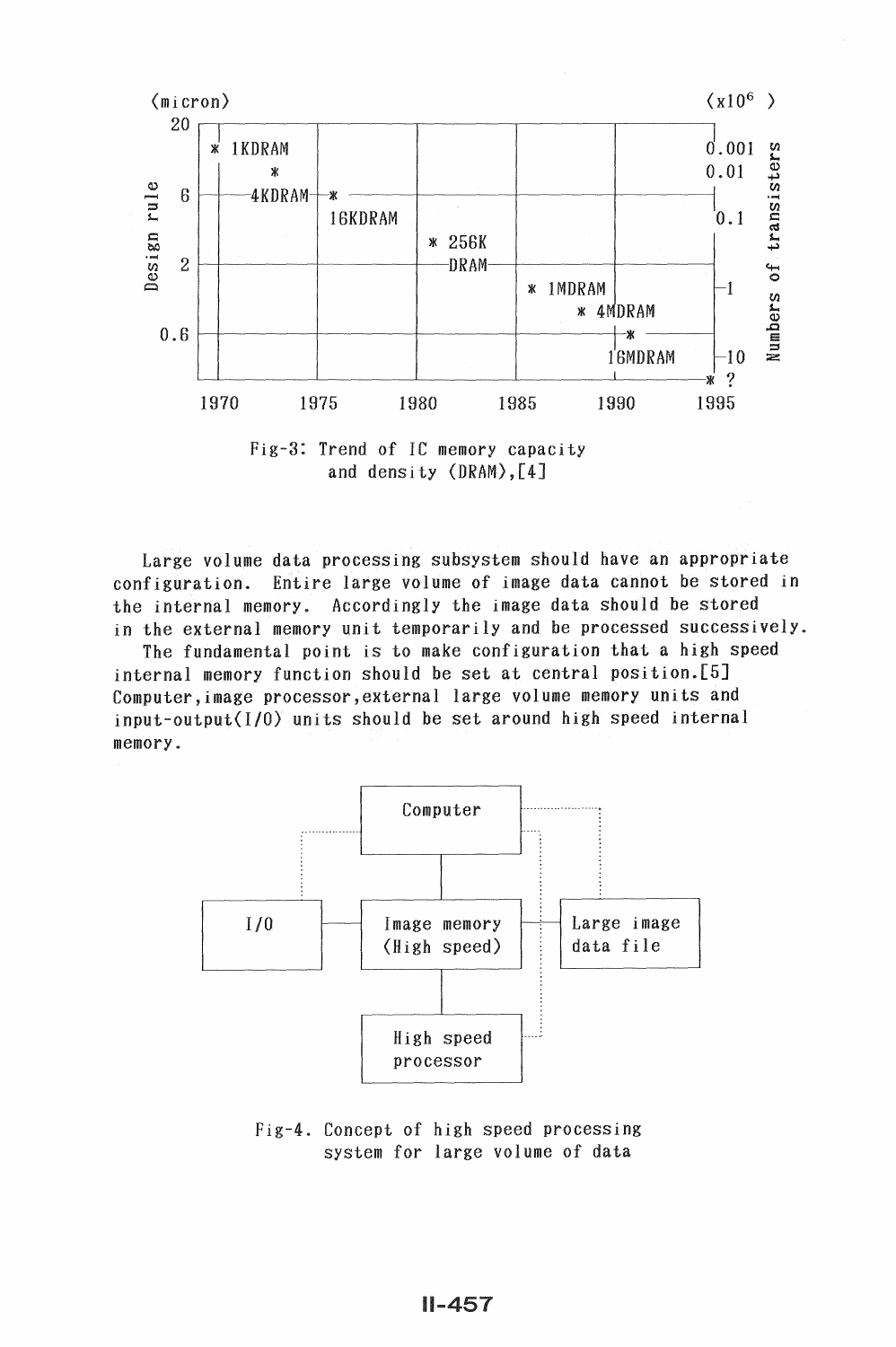

Fig-3: Trend of IC memory capacity and density (DRAM),[4]

Large volume data processing subsystem should have an appropriate configuration. Entire large volume of image data cannot be stored in the internal memory. Accordingly the image data should be stored in the external memory unit temporarily and be processed successively.

The fundamental point is to make configuration that a high speed internal memory function should be set at central position.[5] Computer,image processor,external large volume memory units and input-output(I/0) units should be set around high speed internal memory.